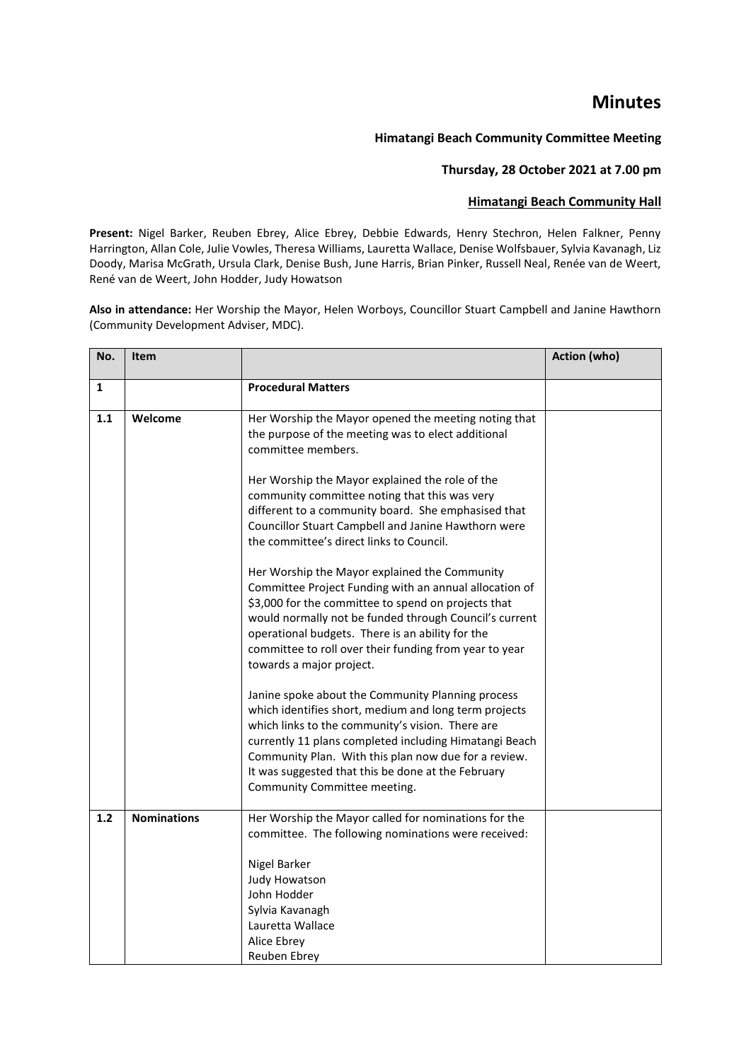## **Minutes**

## **Himatangi Beach Community Committee Meeting**

## **Thursday, 28 October 2021 at 7.00 pm**

## **Himatangi Beach Community Hall**

**Present:** Nigel Barker, Reuben Ebrey, Alice Ebrey, Debbie Edwards, Henry Stechron, Helen Falkner, Penny Harrington, Allan Cole, Julie Vowles, Theresa Williams, Lauretta Wallace, Denise Wolfsbauer, Sylvia Kavanagh, Liz Doody, Marisa McGrath, Ursula Clark, Denise Bush, June Harris, Brian Pinker, Russell Neal, Renée van de Weert, René van de Weert, John Hodder, Judy Howatson

**Also in attendance:** Her Worship the Mayor, Helen Worboys, Councillor Stuart Campbell and Janine Hawthorn (Community Development Adviser, MDC).

| No. | Item               |                                                                                                                                                                                                                                                                                                                                                                        | <b>Action (who)</b> |
|-----|--------------------|------------------------------------------------------------------------------------------------------------------------------------------------------------------------------------------------------------------------------------------------------------------------------------------------------------------------------------------------------------------------|---------------------|
| 1   |                    | <b>Procedural Matters</b>                                                                                                                                                                                                                                                                                                                                              |                     |
| 1.1 | Welcome            | Her Worship the Mayor opened the meeting noting that                                                                                                                                                                                                                                                                                                                   |                     |
|     |                    | the purpose of the meeting was to elect additional<br>committee members.                                                                                                                                                                                                                                                                                               |                     |
|     |                    | Her Worship the Mayor explained the role of the<br>community committee noting that this was very<br>different to a community board. She emphasised that<br>Councillor Stuart Campbell and Janine Hawthorn were<br>the committee's direct links to Council.                                                                                                             |                     |
|     |                    | Her Worship the Mayor explained the Community<br>Committee Project Funding with an annual allocation of<br>\$3,000 for the committee to spend on projects that<br>would normally not be funded through Council's current<br>operational budgets. There is an ability for the<br>committee to roll over their funding from year to year<br>towards a major project.     |                     |
|     |                    | Janine spoke about the Community Planning process<br>which identifies short, medium and long term projects<br>which links to the community's vision. There are<br>currently 11 plans completed including Himatangi Beach<br>Community Plan. With this plan now due for a review.<br>It was suggested that this be done at the February<br>Community Committee meeting. |                     |
| 1.2 | <b>Nominations</b> | Her Worship the Mayor called for nominations for the<br>committee. The following nominations were received:<br>Nigel Barker<br><b>Judy Howatson</b><br>John Hodder<br>Sylvia Kavanagh<br>Lauretta Wallace<br>Alice Ebrey<br>Reuben Ebrey                                                                                                                               |                     |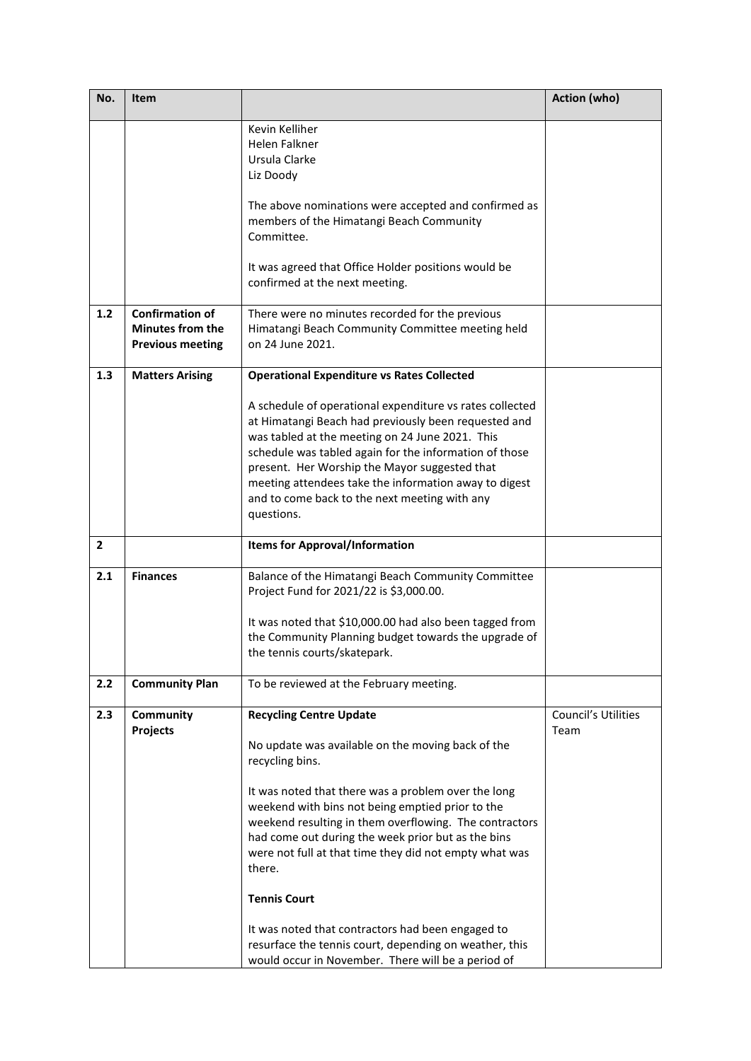| No.            | Item                                                                         |                                                                                                                                                                                                                                                                                                                                                                                                        | Action (who)                |
|----------------|------------------------------------------------------------------------------|--------------------------------------------------------------------------------------------------------------------------------------------------------------------------------------------------------------------------------------------------------------------------------------------------------------------------------------------------------------------------------------------------------|-----------------------------|
|                |                                                                              | Kevin Kelliher                                                                                                                                                                                                                                                                                                                                                                                         |                             |
|                |                                                                              | <b>Helen Falkner</b><br>Ursula Clarke                                                                                                                                                                                                                                                                                                                                                                  |                             |
|                |                                                                              | Liz Doody                                                                                                                                                                                                                                                                                                                                                                                              |                             |
|                |                                                                              | The above nominations were accepted and confirmed as<br>members of the Himatangi Beach Community<br>Committee.                                                                                                                                                                                                                                                                                         |                             |
|                |                                                                              | It was agreed that Office Holder positions would be<br>confirmed at the next meeting.                                                                                                                                                                                                                                                                                                                  |                             |
| 1.2            | <b>Confirmation of</b><br><b>Minutes from the</b><br><b>Previous meeting</b> | There were no minutes recorded for the previous<br>Himatangi Beach Community Committee meeting held<br>on 24 June 2021.                                                                                                                                                                                                                                                                                |                             |
| 1.3            | <b>Matters Arising</b>                                                       | <b>Operational Expenditure vs Rates Collected</b>                                                                                                                                                                                                                                                                                                                                                      |                             |
|                |                                                                              | A schedule of operational expenditure vs rates collected<br>at Himatangi Beach had previously been requested and<br>was tabled at the meeting on 24 June 2021. This<br>schedule was tabled again for the information of those<br>present. Her Worship the Mayor suggested that<br>meeting attendees take the information away to digest<br>and to come back to the next meeting with any<br>questions. |                             |
| $\overline{2}$ |                                                                              | <b>Items for Approval/Information</b>                                                                                                                                                                                                                                                                                                                                                                  |                             |
| 2.1            | <b>Finances</b>                                                              | Balance of the Himatangi Beach Community Committee<br>Project Fund for 2021/22 is \$3,000.00.                                                                                                                                                                                                                                                                                                          |                             |
|                |                                                                              | It was noted that \$10,000.00 had also been tagged from<br>the Community Planning budget towards the upgrade of<br>the tennis courts/skatepark.                                                                                                                                                                                                                                                        |                             |
| 2.2            | <b>Community Plan</b>                                                        | To be reviewed at the February meeting.                                                                                                                                                                                                                                                                                                                                                                |                             |
| 2.3            | Community<br>Projects                                                        | <b>Recycling Centre Update</b>                                                                                                                                                                                                                                                                                                                                                                         | Council's Utilities<br>Team |
|                |                                                                              | No update was available on the moving back of the<br>recycling bins.                                                                                                                                                                                                                                                                                                                                   |                             |
|                |                                                                              | It was noted that there was a problem over the long<br>weekend with bins not being emptied prior to the<br>weekend resulting in them overflowing. The contractors<br>had come out during the week prior but as the bins<br>were not full at that time they did not empty what was<br>there.                                                                                                            |                             |
|                |                                                                              | <b>Tennis Court</b>                                                                                                                                                                                                                                                                                                                                                                                    |                             |
|                |                                                                              | It was noted that contractors had been engaged to<br>resurface the tennis court, depending on weather, this<br>would occur in November. There will be a period of                                                                                                                                                                                                                                      |                             |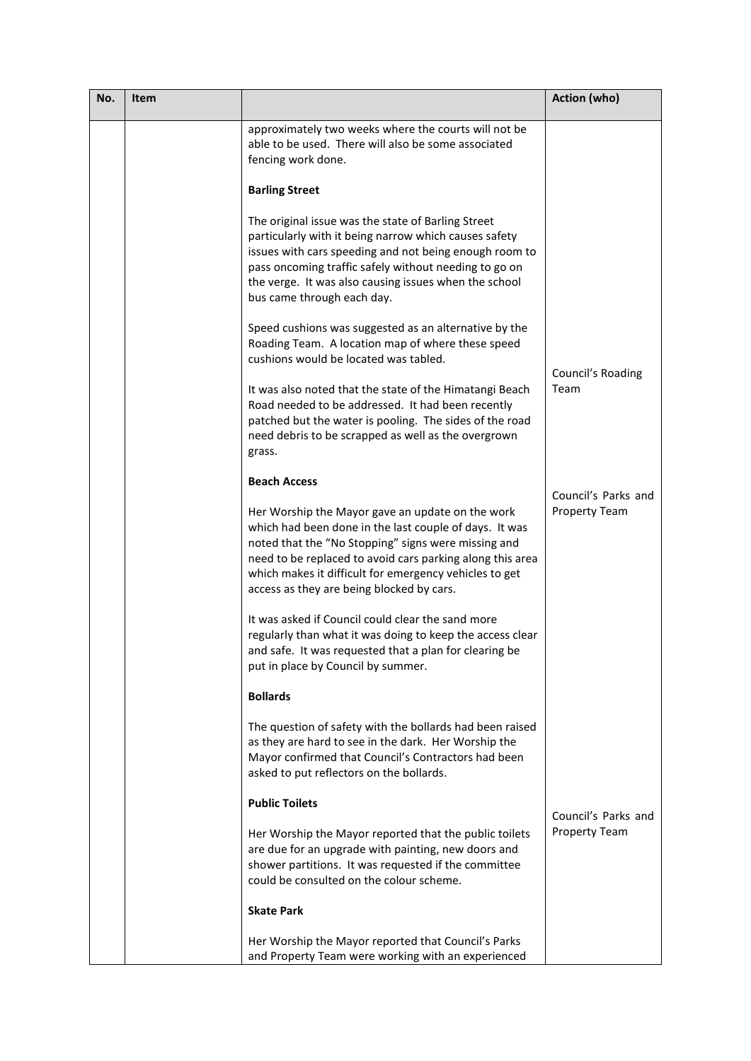| No. | Item |                                                                                                                                                                                                                                                                                                                                       | <b>Action (who)</b>       |
|-----|------|---------------------------------------------------------------------------------------------------------------------------------------------------------------------------------------------------------------------------------------------------------------------------------------------------------------------------------------|---------------------------|
|     |      | approximately two weeks where the courts will not be<br>able to be used. There will also be some associated<br>fencing work done.                                                                                                                                                                                                     |                           |
|     |      | <b>Barling Street</b>                                                                                                                                                                                                                                                                                                                 |                           |
|     |      | The original issue was the state of Barling Street<br>particularly with it being narrow which causes safety<br>issues with cars speeding and not being enough room to<br>pass oncoming traffic safely without needing to go on<br>the verge. It was also causing issues when the school<br>bus came through each day.                 |                           |
|     |      | Speed cushions was suggested as an alternative by the<br>Roading Team. A location map of where these speed<br>cushions would be located was tabled.                                                                                                                                                                                   |                           |
|     |      | It was also noted that the state of the Himatangi Beach<br>Road needed to be addressed. It had been recently<br>patched but the water is pooling. The sides of the road<br>need debris to be scrapped as well as the overgrown<br>grass.                                                                                              | Council's Roading<br>Team |
|     |      | <b>Beach Access</b>                                                                                                                                                                                                                                                                                                                   | Council's Parks and       |
|     |      | Her Worship the Mayor gave an update on the work<br>which had been done in the last couple of days. It was<br>noted that the "No Stopping" signs were missing and<br>need to be replaced to avoid cars parking along this area<br>which makes it difficult for emergency vehicles to get<br>access as they are being blocked by cars. | <b>Property Team</b>      |
|     |      | It was asked if Council could clear the sand more<br>regularly than what it was doing to keep the access clear<br>and safe. It was requested that a plan for clearing be<br>put in place by Council by summer.                                                                                                                        |                           |
|     |      | <b>Bollards</b>                                                                                                                                                                                                                                                                                                                       |                           |
|     |      | The question of safety with the bollards had been raised<br>as they are hard to see in the dark. Her Worship the<br>Mayor confirmed that Council's Contractors had been<br>asked to put reflectors on the bollards.                                                                                                                   |                           |
|     |      | <b>Public Toilets</b>                                                                                                                                                                                                                                                                                                                 | Council's Parks and       |
|     |      | Her Worship the Mayor reported that the public toilets<br>are due for an upgrade with painting, new doors and<br>shower partitions. It was requested if the committee<br>could be consulted on the colour scheme.                                                                                                                     | <b>Property Team</b>      |
|     |      | <b>Skate Park</b>                                                                                                                                                                                                                                                                                                                     |                           |
|     |      | Her Worship the Mayor reported that Council's Parks<br>and Property Team were working with an experienced                                                                                                                                                                                                                             |                           |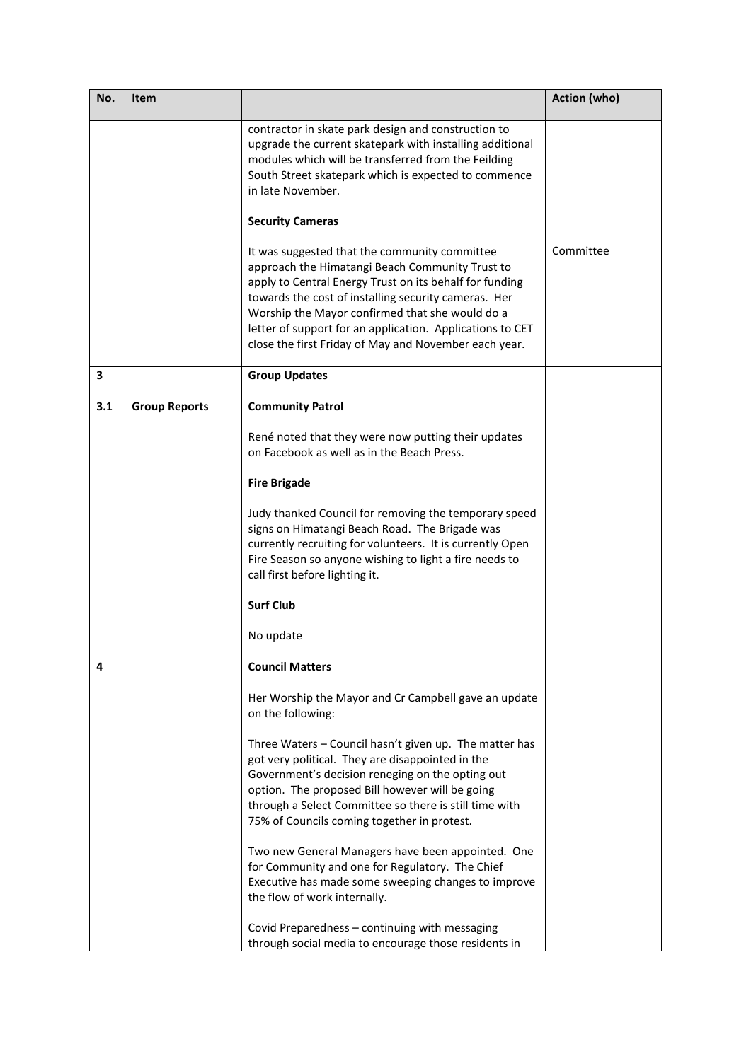| No. | Item                 |                                                                                                                                                                                                                                                                                                                                                                                              | Action (who) |
|-----|----------------------|----------------------------------------------------------------------------------------------------------------------------------------------------------------------------------------------------------------------------------------------------------------------------------------------------------------------------------------------------------------------------------------------|--------------|
|     |                      | contractor in skate park design and construction to<br>upgrade the current skatepark with installing additional<br>modules which will be transferred from the Feilding<br>South Street skatepark which is expected to commence<br>in late November.                                                                                                                                          |              |
|     |                      | <b>Security Cameras</b>                                                                                                                                                                                                                                                                                                                                                                      |              |
|     |                      | It was suggested that the community committee<br>approach the Himatangi Beach Community Trust to<br>apply to Central Energy Trust on its behalf for funding<br>towards the cost of installing security cameras. Her<br>Worship the Mayor confirmed that she would do a<br>letter of support for an application. Applications to CET<br>close the first Friday of May and November each year. | Committee    |
| 3   |                      | <b>Group Updates</b>                                                                                                                                                                                                                                                                                                                                                                         |              |
| 3.1 | <b>Group Reports</b> | <b>Community Patrol</b>                                                                                                                                                                                                                                                                                                                                                                      |              |
|     |                      | René noted that they were now putting their updates<br>on Facebook as well as in the Beach Press.                                                                                                                                                                                                                                                                                            |              |
|     |                      | <b>Fire Brigade</b>                                                                                                                                                                                                                                                                                                                                                                          |              |
|     |                      | Judy thanked Council for removing the temporary speed<br>signs on Himatangi Beach Road. The Brigade was<br>currently recruiting for volunteers. It is currently Open<br>Fire Season so anyone wishing to light a fire needs to<br>call first before lighting it.                                                                                                                             |              |
|     |                      | <b>Surf Club</b>                                                                                                                                                                                                                                                                                                                                                                             |              |
|     |                      | No update                                                                                                                                                                                                                                                                                                                                                                                    |              |
| 4   |                      | <b>Council Matters</b>                                                                                                                                                                                                                                                                                                                                                                       |              |
|     |                      | Her Worship the Mayor and Cr Campbell gave an update<br>on the following:                                                                                                                                                                                                                                                                                                                    |              |
|     |                      | Three Waters - Council hasn't given up. The matter has<br>got very political. They are disappointed in the<br>Government's decision reneging on the opting out<br>option. The proposed Bill however will be going<br>through a Select Committee so there is still time with<br>75% of Councils coming together in protest.                                                                   |              |
|     |                      | Two new General Managers have been appointed. One<br>for Community and one for Regulatory. The Chief<br>Executive has made some sweeping changes to improve<br>the flow of work internally.                                                                                                                                                                                                  |              |
|     |                      | Covid Preparedness - continuing with messaging<br>through social media to encourage those residents in                                                                                                                                                                                                                                                                                       |              |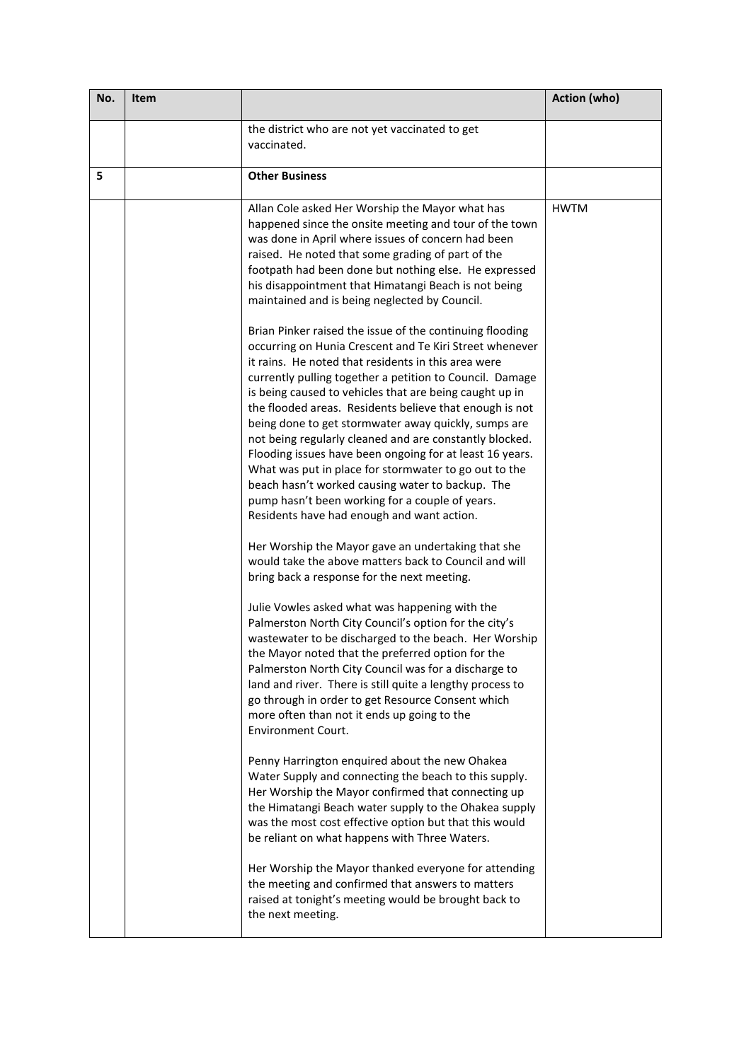| the district who are not yet vaccinated to get<br>vaccinated.<br>5<br><b>Other Business</b><br>Allan Cole asked Her Worship the Mayor what has<br><b>HWTM</b><br>happened since the onsite meeting and tour of the town<br>was done in April where issues of concern had been<br>raised. He noted that some grading of part of the<br>footpath had been done but nothing else. He expressed<br>his disappointment that Himatangi Beach is not being<br>maintained and is being neglected by Council.<br>Brian Pinker raised the issue of the continuing flooding<br>occurring on Hunia Crescent and Te Kiri Street whenever<br>it rains. He noted that residents in this area were<br>currently pulling together a petition to Council. Damage<br>is being caused to vehicles that are being caught up in<br>the flooded areas. Residents believe that enough is not<br>being done to get stormwater away quickly, sumps are<br>not being regularly cleaned and are constantly blocked.<br>Flooding issues have been ongoing for at least 16 years.<br>What was put in place for stormwater to go out to the<br>beach hasn't worked causing water to backup. The<br>pump hasn't been working for a couple of years.<br>Residents have had enough and want action.<br>Her Worship the Mayor gave an undertaking that she<br>would take the above matters back to Council and will<br>bring back a response for the next meeting.<br>Julie Vowles asked what was happening with the<br>Palmerston North City Council's option for the city's<br>wastewater to be discharged to the beach. Her Worship<br>the Mayor noted that the preferred option for the<br>Palmerston North City Council was for a discharge to<br>land and river. There is still quite a lengthy process to<br>go through in order to get Resource Consent which<br>more often than not it ends up going to the<br><b>Environment Court.</b> |
|----------------------------------------------------------------------------------------------------------------------------------------------------------------------------------------------------------------------------------------------------------------------------------------------------------------------------------------------------------------------------------------------------------------------------------------------------------------------------------------------------------------------------------------------------------------------------------------------------------------------------------------------------------------------------------------------------------------------------------------------------------------------------------------------------------------------------------------------------------------------------------------------------------------------------------------------------------------------------------------------------------------------------------------------------------------------------------------------------------------------------------------------------------------------------------------------------------------------------------------------------------------------------------------------------------------------------------------------------------------------------------------------------------------------------------------------------------------------------------------------------------------------------------------------------------------------------------------------------------------------------------------------------------------------------------------------------------------------------------------------------------------------------------------------------------------------------------------------------------------------------------------------------------------|
|                                                                                                                                                                                                                                                                                                                                                                                                                                                                                                                                                                                                                                                                                                                                                                                                                                                                                                                                                                                                                                                                                                                                                                                                                                                                                                                                                                                                                                                                                                                                                                                                                                                                                                                                                                                                                                                                                                                |
|                                                                                                                                                                                                                                                                                                                                                                                                                                                                                                                                                                                                                                                                                                                                                                                                                                                                                                                                                                                                                                                                                                                                                                                                                                                                                                                                                                                                                                                                                                                                                                                                                                                                                                                                                                                                                                                                                                                |
| Penny Harrington enquired about the new Ohakea<br>Water Supply and connecting the beach to this supply.<br>Her Worship the Mayor confirmed that connecting up<br>the Himatangi Beach water supply to the Ohakea supply<br>was the most cost effective option but that this would                                                                                                                                                                                                                                                                                                                                                                                                                                                                                                                                                                                                                                                                                                                                                                                                                                                                                                                                                                                                                                                                                                                                                                                                                                                                                                                                                                                                                                                                                                                                                                                                                               |
| be reliant on what happens with Three Waters.<br>Her Worship the Mayor thanked everyone for attending<br>the meeting and confirmed that answers to matters<br>raised at tonight's meeting would be brought back to<br>the next meeting.                                                                                                                                                                                                                                                                                                                                                                                                                                                                                                                                                                                                                                                                                                                                                                                                                                                                                                                                                                                                                                                                                                                                                                                                                                                                                                                                                                                                                                                                                                                                                                                                                                                                        |